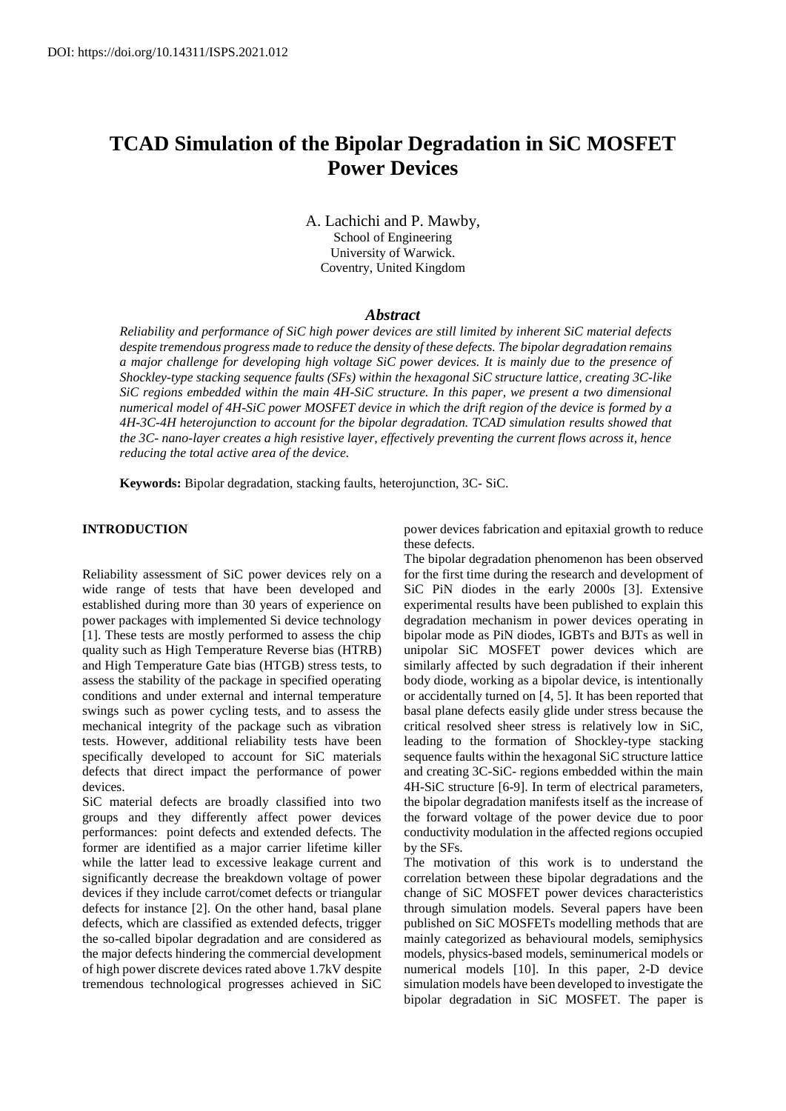# **TCAD Simulation of the Bipolar Degradation in SiC MOSFET Power Devices**

A. Lachichi and P. Mawby, School of Engineering University of Warwick. Coventry, United Kingdom

# *Abstract*

*Reliability and performance of SiC high power devices are still limited by inherent SiC material defects despite tremendous progress made to reduce the density of these defects. The bipolar degradation remains a major challenge for developing high voltage SiC power devices. It is mainly due to the presence of Shockley-type stacking sequence faults (SFs) within the hexagonal SiC structure lattice, creating 3C-like SiC regions embedded within the main 4H-SiC structure. In this paper, we present a two dimensional numerical model of 4H-SiC power MOSFET device in which the drift region of the device is formed by a 4H-3C-4H heterojunction to account for the bipolar degradation. TCAD simulation results showed that the 3C- nano-layer creates a high resistive layer, effectively preventing the current flows across it, hence reducing the total active area of the device.*

**Keywords:** Bipolar degradation, stacking faults, heterojunction, 3C- SiC.

# **INTRODUCTION**

Reliability assessment of SiC power devices rely on a wide range of tests that have been developed and established during more than 30 years of experience on power packages with implemented Si device technology [1]. These tests are mostly performed to assess the chip quality such as High Temperature Reverse bias (HTRB) and High Temperature Gate bias (HTGB) stress tests, to assess the stability of the package in specified operating conditions and under external and internal temperature swings such as power cycling tests, and to assess the mechanical integrity of the package such as vibration tests. However, additional reliability tests have been specifically developed to account for SiC materials defects that direct impact the performance of power devices.

SiC material defects are broadly classified into two groups and they differently affect power devices performances: point defects and extended defects. The former are identified as a major carrier lifetime killer while the latter lead to excessive leakage current and significantly decrease the breakdown voltage of power devices if they include carrot/comet defects or triangular defects for instance [2]. On the other hand, basal plane defects, which are classified as extended defects, trigger the so-called bipolar degradation and are considered as the major defects hindering the commercial development of high power discrete devices rated above 1.7kV despite tremendous technological progresses achieved in SiC power devices fabrication and epitaxial growth to reduce these defects.

The bipolar degradation phenomenon has been observed for the first time during the research and development of SiC PiN diodes in the early 2000s [3]. Extensive experimental results have been published to explain this degradation mechanism in power devices operating in bipolar mode as PiN diodes, IGBTs and BJTs as well in unipolar SiC MOSFET power devices which are similarly affected by such degradation if their inherent body diode, working as a bipolar device, is intentionally or accidentally turned on [4, 5]. It has been reported that basal plane defects easily glide under stress because the critical resolved sheer stress is relatively low in SiC, leading to the formation of Shockley-type stacking sequence faults within the hexagonal SiC structure lattice and creating 3C-SiC- regions embedded within the main 4H-SiC structure [6-9]. In term of electrical parameters, the bipolar degradation manifests itself as the increase of the forward voltage of the power device due to poor conductivity modulation in the affected regions occupied by the SFs.

The motivation of this work is to understand the correlation between these bipolar degradations and the change of SiC MOSFET power devices characteristics through simulation models. Several papers have been published on SiC MOSFETs modelling methods that are mainly categorized as behavioural models, semiphysics models, physics-based models, seminumerical models or numerical models [10]. In this paper, 2-D device simulation models have been developed to investigate the bipolar degradation in SiC MOSFET. The paper is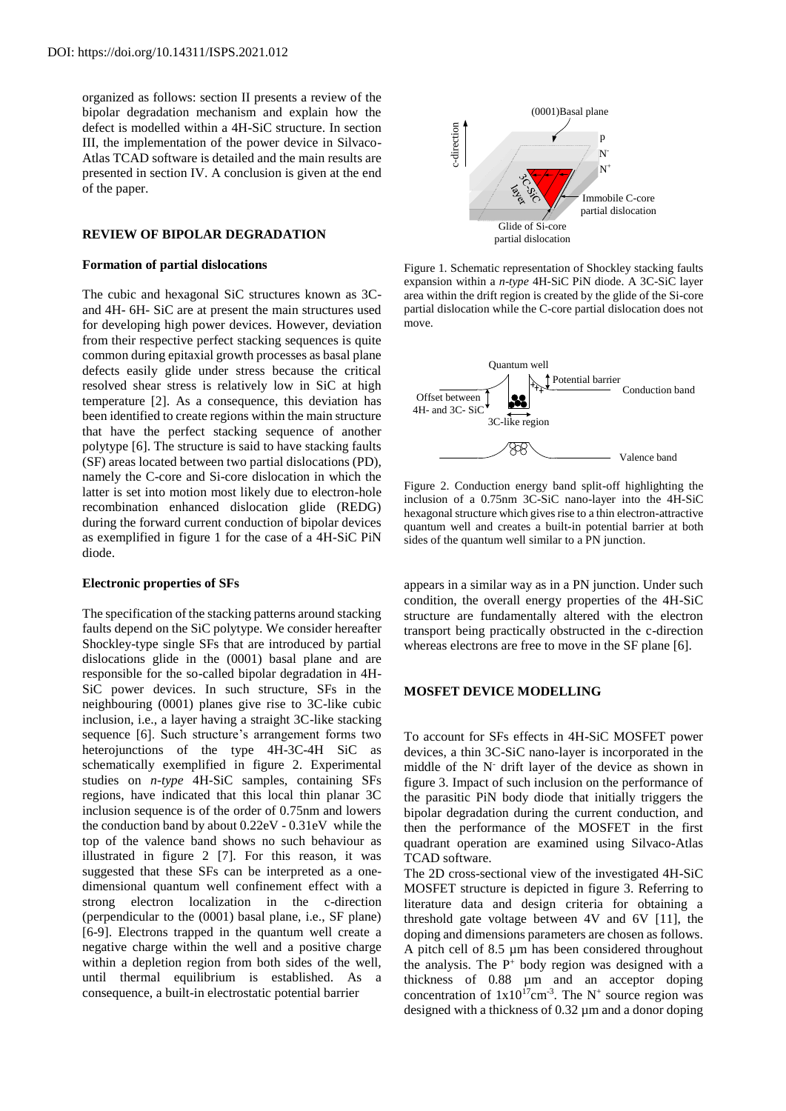organized as follows: section II presents a review of the bipolar degradation mechanism and explain how the defect is modelled within a 4H-SiC structure. In section III, the implementation of the power device in Silvaco-Atlas TCAD software is detailed and the main results are presented in section IV. A conclusion is given at the end of the paper.

## **REVIEW OF BIPOLAR DEGRADATION**

## **Formation of partial dislocations**

The cubic and hexagonal SiC structures known as 3Cand 4H- 6H- SiC are at present the main structures used for developing high power devices. However, deviation from their respective perfect stacking sequences is quite common during epitaxial growth processes as basal plane defects easily glide under stress because the critical resolved shear stress is relatively low in SiC at high temperature [2]. As a consequence, this deviation has been identified to create regions within the main structure that have the perfect stacking sequence of another polytype [6]. The structure is said to have stacking faults (SF) areas located between two partial dislocations (PD), namely the C-core and Si-core dislocation in which the latter is set into motion most likely due to electron-hole recombination enhanced dislocation glide (REDG) during the forward current conduction of bipolar devices as exemplified in figure 1 for the case of a 4H-SiC PiN diode.

## **Electronic properties of SFs**

The specification of the stacking patterns around stacking faults depend on the SiC polytype. We consider hereafter Shockley-type single SFs that are introduced by partial dislocations glide in the (0001) basal plane and are responsible for the so-called bipolar degradation in 4H-SiC power devices. In such structure, SFs in the neighbouring (0001) planes give rise to 3C-like cubic inclusion, i.e., a layer having a straight 3C-like stacking sequence [6]. Such structure's arrangement forms two heterojunctions of the type 4H-3C-4H SiC as schematically exemplified in figure 2. Experimental studies on *n-type* 4H-SiC samples, containing SFs regions, have indicated that this local thin planar 3C inclusion sequence is of the order of 0.75nm and lowers the conduction band by about 0.22eV - 0.31eV while the top of the valence band shows no such behaviour as illustrated in figure 2 [7]. For this reason, it was suggested that these SFs can be interpreted as a onedimensional quantum well confinement effect with a strong electron localization in the c-direction (perpendicular to the (0001) basal plane, i.e., SF plane) [6-9]. Electrons trapped in the quantum well create a negative charge within the well and a positive charge within a depletion region from both sides of the well, until thermal equilibrium is established. As a consequence, a built-in electrostatic potential barrier



Figure 1. Schematic representation of Shockley stacking faults expansion within a *n-type* 4H-SiC PiN diode. A 3C-SiC layer area within the drift region is created by the glide of the Si-core partial dislocation while the C-core partial dislocation does not move.



Figure 2. Conduction energy band split-off highlighting the inclusion of a 0.75nm 3C-SiC nano-layer into the 4H-SiC hexagonal structure which gives rise to a thin electron-attractive quantum well and creates a built-in potential barrier at both sides of the quantum well similar to a PN junction.

appears in a similar way as in a PN junction. Under such condition, the overall energy properties of the 4H-SiC structure are fundamentally altered with the electron transport being practically obstructed in the c-direction whereas electrons are free to move in the SF plane [6].

## **MOSFET DEVICE MODELLING**

To account for SFs effects in 4H-SiC MOSFET power devices, a thin 3C-SiC nano-layer is incorporated in the middle of the N- drift layer of the device as shown in figure 3. Impact of such inclusion on the performance of the parasitic PiN body diode that initially triggers the bipolar degradation during the current conduction, and then the performance of the MOSFET in the first quadrant operation are examined using Silvaco-Atlas TCAD software.

The 2D cross-sectional view of the investigated 4H-SiC MOSFET structure is depicted in figure 3. Referring to literature data and design criteria for obtaining a threshold gate voltage between 4V and 6V [11], the doping and dimensions parameters are chosen as follows. A pitch cell of 8.5 µm has been considered throughout the analysis. The  $P^+$  body region was designed with a thickness of 0.88 µm and an acceptor doping concentration of  $1x10^{17}$ cm<sup>-3</sup>. The N<sup>+</sup> source region was designed with a thickness of 0.32 µm and a donor doping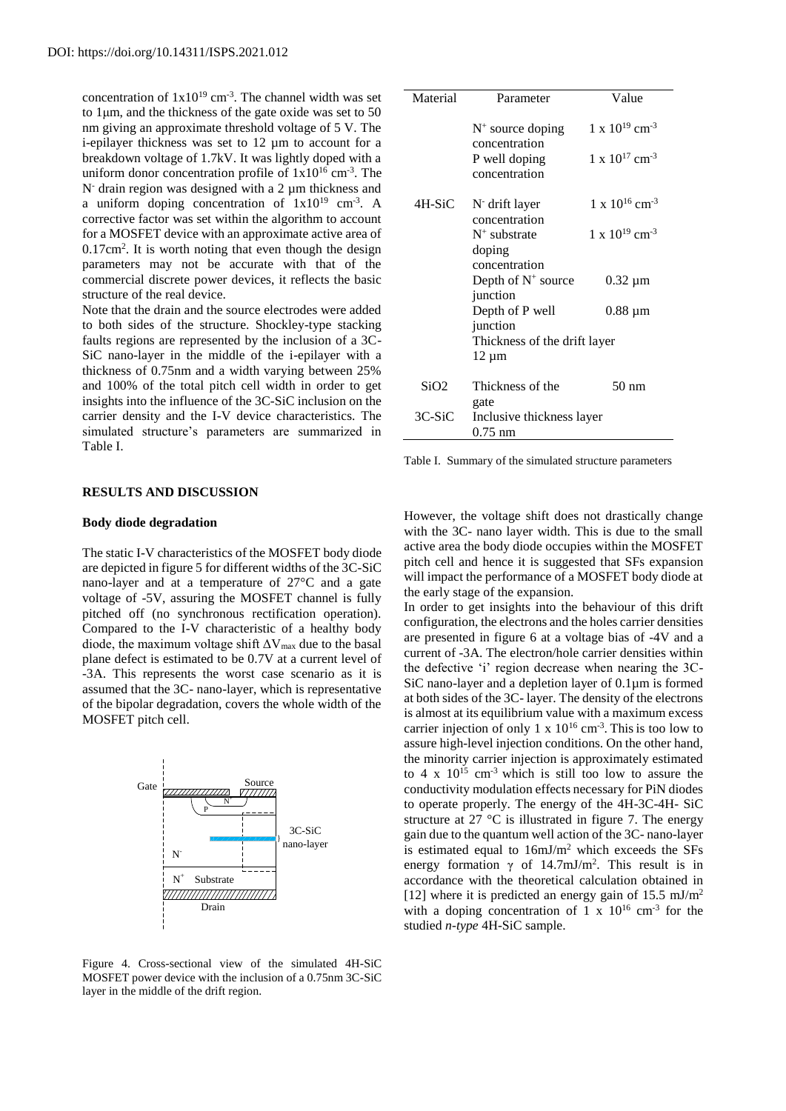concentration of  $1x10^{19}$  cm<sup>-3</sup>. The channel width was set to 1μm, and the thickness of the gate oxide was set to 50 nm giving an approximate threshold voltage of 5 V. The i-epilayer thickness was set to 12 µm to account for a breakdown voltage of 1.7kV. It was lightly doped with a uniform donor concentration profile of  $1x10^{16}$  cm<sup>-3</sup>. The  $N$ - drain region was designed with a 2  $\mu$ m thickness and a uniform doping concentration of  $1x10^{19}$  cm<sup>-3</sup>. A corrective factor was set within the algorithm to account for a MOSFET device with an approximate active area of  $0.17$ cm<sup>2</sup>. It is worth noting that even though the design parameters may not be accurate with that of the commercial discrete power devices, it reflects the basic structure of the real device.

Note that the drain and the source electrodes were added to both sides of the structure. Shockley-type stacking faults regions are represented by the inclusion of a 3C-SiC nano-layer in the middle of the i-epilayer with a thickness of 0.75nm and a width varying between 25% and 100% of the total pitch cell width in order to get insights into the influence of the 3C-SiC inclusion on the carrier density and the I-V device characteristics. The simulated structure's parameters are summarized in Table I.

#### **RESULTS AND DISCUSSION**

#### **Body diode degradation**

The static I-V characteristics of the MOSFET body diode are depicted in figure 5 for different widths of the 3C-SiC nano-layer and at a temperature of 27°C and a gate voltage of -5V, assuring the MOSFET channel is fully pitched off (no synchronous rectification operation). Compared to the I-V characteristic of a healthy body diode, the maximum voltage shift  $\Delta V_{\text{max}}$  due to the basal plane defect is estimated to be 0.7V at a current level of -3A. This represents the worst case scenario as it is assumed that the 3C- nano-layer, which is representative of the bipolar degradation, covers the whole width of the MOSFET pitch cell.



Figure 4. Cross-sectional view of the simulated 4H-SiC MOSFET power device with the inclusion of a 0.75nm 3C-SiC layer in the middle of the drift region.

| Material | Parameter                                      | Value                               |
|----------|------------------------------------------------|-------------------------------------|
|          | $N^+$ source doping<br>concentration           | $1 \times 10^{19}$ cm <sup>-3</sup> |
|          | P well doping<br>concentration                 | $1 \times 10^{17}$ cm <sup>-3</sup> |
| 4H-SiC   | N <sup>-</sup> drift layer<br>concentration    | $1 \times 10^{16}$ cm <sup>-3</sup> |
|          | $N^+$ substrate                                | $1 \times 10^{19}$ cm <sup>-3</sup> |
|          | doping<br>concentration                        |                                     |
|          | Depth of $N^+$ source                          | $0.32 \mu m$                        |
|          | junction<br>Depth of P well                    | $0.88 \mu m$                        |
|          | junction                                       |                                     |
|          | Thickness of the drift layer<br>$12 \mu m$     |                                     |
| SiO2     | Thickness of the                               | 50 nm                               |
| $3C-SiC$ | gate<br>Inclusive thickness layer<br>$0.75$ nm |                                     |

Table I. Summary of the simulated structure parameters

However, the voltage shift does not drastically change with the 3C- nano layer width. This is due to the small active area the body diode occupies within the MOSFET pitch cell and hence it is suggested that SFs expansion will impact the performance of a MOSFET body diode at the early stage of the expansion.

In order to get insights into the behaviour of this drift configuration, the electrons and the holes carrier densities are presented in figure 6 at a voltage bias of -4V and a current of -3A. The electron/hole carrier densities within the defective 'i' region decrease when nearing the 3C-SiC nano-layer and a depletion layer of 0.1µm is formed at both sides of the 3C- layer. The density of the electrons is almost at its equilibrium value with a maximum excess carrier injection of only 1 x  $10^{16}$  cm<sup>-3</sup>. This is too low to assure high-level injection conditions. On the other hand, the minority carrier injection is approximately estimated to 4 x  $10^{15}$  cm<sup>-3</sup> which is still too low to assure the conductivity modulation effects necessary for PiN diodes to operate properly. The energy of the 4H-3C-4H- SiC structure at 27 °C is illustrated in figure 7. The energy gain due to the quantum well action of the 3C- nano-layer is estimated equal to 16mJ/m<sup>2</sup> which exceeds the SFs energy formation  $\gamma$  of 14.7mJ/m<sup>2</sup>. This result is in accordance with the theoretical calculation obtained in [12] where it is predicted an energy gain of 15.5 mJ/m<sup>2</sup> with a doping concentration of 1 x  $10^{16}$  cm<sup>-3</sup> for the studied *n-type* 4H-SiC sample.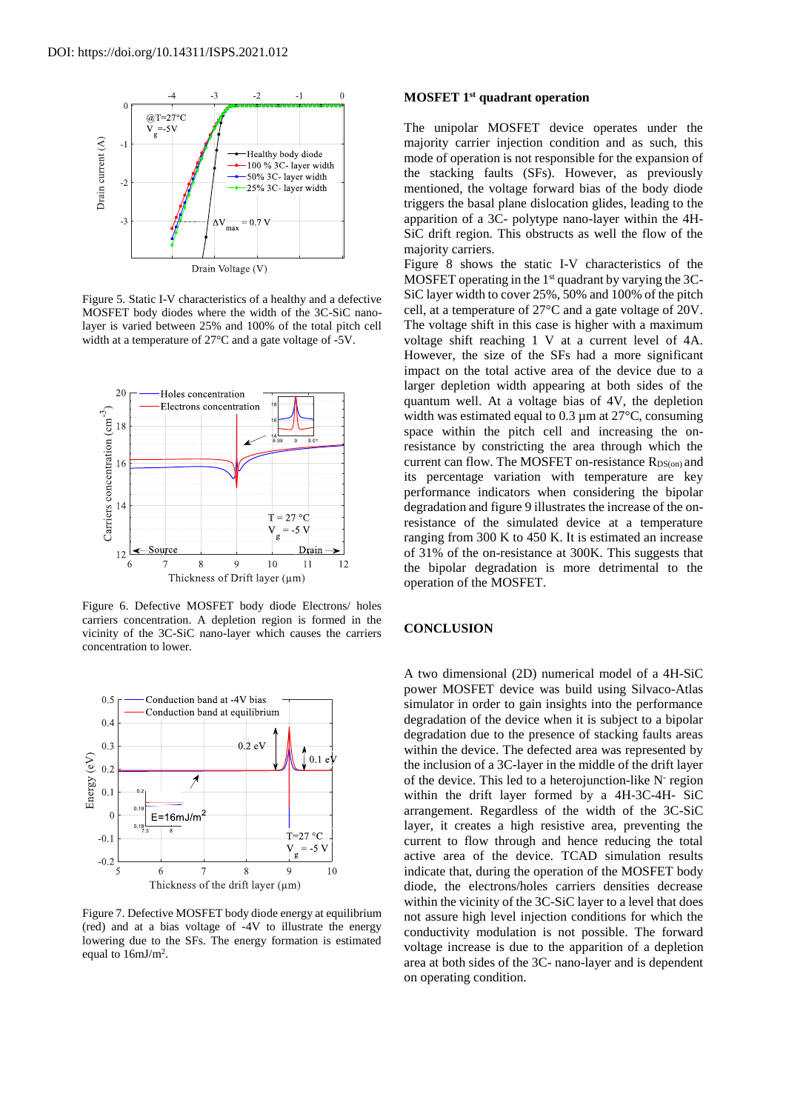

Figure 5. Static I-V characteristics of a healthy and a defective MOSFET body diodes where the width of the 3C-SiC nanolayer is varied between 25% and 100% of the total pitch cell width at a temperature of 27°C and a gate voltage of -5V.



Figure 6. Defective MOSFET body diode Electrons/ holes carriers concentration. A depletion region is formed in the vicinity of the 3C-SiC nano-layer which causes the carriers concentration to lower.



Figure 7. Defective MOSFET body diode energy at equilibrium (red) and at a bias voltage of -4V to illustrate the energy lowering due to the SFs. The energy formation is estimated equal to  $16 \text{mJ/m}^2$ .

# **MOSFET 1st quadrant operation**

The unipolar MOSFET device operates under the majority carrier injection condition and as such, this mode of operation is not responsible for the expansion of the stacking faults (SFs). However, as previously mentioned, the voltage forward bias of the body diode triggers the basal plane dislocation glides, leading to the apparition of a 3C- polytype nano-layer within the 4H-SiC drift region. This obstructs as well the flow of the majority carriers.

Figure 8 shows the static I-V characteristics of the MOSFET operating in the  $1<sup>st</sup>$  quadrant by varying the 3C-SiC layer width to cover 25%, 50% and 100% of the pitch cell, at a temperature of 27°C and a gate voltage of 20V. The voltage shift in this case is higher with a maximum voltage shift reaching 1 V at a current level of 4A. However, the size of the SFs had a more significant impact on the total active area of the device due to a larger depletion width appearing at both sides of the quantum well. At a voltage bias of 4V, the depletion width was estimated equal to  $0.3 \mu$ m at  $27^{\circ}$ C, consuming space within the pitch cell and increasing the onresistance by constricting the area through which the current can flow. The MOSFET on-resistance  $R_{DS(on)}$  and its percentage variation with temperature are key performance indicators when considering the bipolar degradation and figure 9 illustrates the increase of the onresistance of the simulated device at a temperature ranging from 300 K to 450 K. It is estimated an increase of 31% of the on-resistance at 300K. This suggests that the bipolar degradation is more detrimental to the operation of the MOSFET.

# **CONCLUSION**

A two dimensional (2D) numerical model of a 4H-SiC power MOSFET device was build using Silvaco-Atlas simulator in order to gain insights into the performance degradation of the device when it is subject to a bipolar degradation due to the presence of stacking faults areas within the device. The defected area was represented by the inclusion of a 3C-layer in the middle of the drift layer of the device. This led to a heterojunction-like N<sup>-</sup> region within the drift layer formed by a 4H-3C-4H- SiC arrangement. Regardless of the width of the 3C-SiC layer, it creates a high resistive area, preventing the current to flow through and hence reducing the total active area of the device. TCAD simulation results indicate that, during the operation of the MOSFET body diode, the electrons/holes carriers densities decrease within the vicinity of the 3C-SiC layer to a level that does not assure high level injection conditions for which the conductivity modulation is not possible. The forward voltage increase is due to the apparition of a depletion area at both sides of the 3C- nano-layer and is dependent on operating condition.